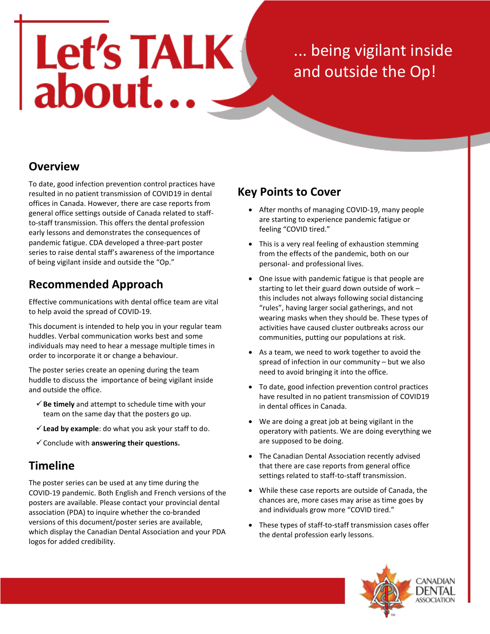# Let's TALK

... being vigilant inside and outside the Op!

# **Overview**

To date, good infection prevention control practices have resulted in no patient transmission of COVID19 in dental offices in Canada. However, there are case reports from general office settings outside of Canada related to staffto-staff transmission. This offers the dental profession early lessons and demonstrates the consequences of pandemic fatigue. CDA developed a three-part poster series to raise dental staff's awareness of the importance of being vigilant inside and outside the "Op."

# **Recommended Approach**

Effective communications with dental office team are vital to help avoid the spread of COVID-19.

This document is intended to help you in your regular team huddles. Verbal communication works best and some individuals may need to hear a message multiple times in order to incorporate it or change a behaviour.

The poster series create an opening during the team huddle to discuss the importance of being vigilant inside and outside the office.

- $\checkmark$  Be timely and attempt to schedule time with your team on the same day that the posters go up.
- **Lead by example**: do what you ask your staff to do.
- Conclude with **answering their questions.**

# **Timeline**

The poster series can be used at any time during the COVID-19 pandemic. Both English and French versions of the posters are available. Please contact your provincial dental association (PDA) to inquire whether the co-branded versions of this document/poster series are available, which display the Canadian Dental Association and your PDA logos for added credibility.

## **Key Points to Cover**

- After months of managing COVID-19, many people are starting to experience pandemic fatigue or feeling "COVID tired."
- This is a very real feeling of exhaustion stemming from the effects of the pandemic, both on our personal- and professional lives.
- One issue with pandemic fatigue is that people are starting to let their guard down outside of work – this includes not always following social distancing "rules", having larger social gatherings, and not wearing masks when they should be. These types of activities have caused cluster outbreaks across our communities, putting our populations at risk.
- As a team, we need to work together to avoid the spread of infection in our community – but we also need to avoid bringing it into the office.
- To date, good infection prevention control practices have resulted in no patient transmission of COVID19 in dental offices in Canada.
- We are doing a great job at being vigilant in the operatory with patients. We are doing everything we are supposed to be doing.
- The Canadian Dental Association recently advised that there are case reports from general office settings related to staff-to-staff transmission.
- While these case reports are outside of Canada, the chances are, more cases may arise as time goes by and individuals grow more "COVID tired."
- These types of staff-to-staff transmission cases offer the dental profession early lessons.